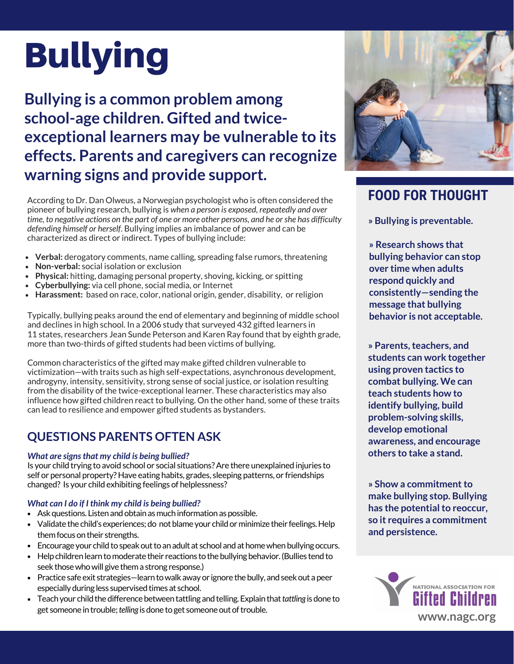# Bullying

**Bullying is a common problem among school-age children. Gifted and twiceexceptional learners may be vulnerable to its effects. Parents and caregivers can recognize warning signs and provide support.**

According to Dr. Dan Olweus, a Norwegian psychologist who is often considered the pioneer of bullying research, bullying is *when a person is exposed, repeatedly and over time, to negative actions on the part of one or more other persons, and he or she has difficulty defending himself or herself*. Bullying implies an imbalance of power and can be characterized as direct or indirect. Types of bullying include:

- **Verbal:** derogatory comments, name calling, spreading false rumors, threatening
- **Non-verbal:** social isolation or exclusion  $\bullet$
- **Physical:** hitting, damaging personal property, shoving, kicking, or spitting
- **Cyberbullying:** via cell phone, social media, or Internet
- **Harassment:** based on race, color, national origin, gender, disability, or religion

Typically, bullying peaks around the end of elementary and beginning of middle school and declines in high school. In [a 2006 study that surveyed 432 gifted learners](https://www.researchgate.net/publication/237254877_Bullying_and_the_Gifted_Victims_Perpetrators_Prevalence_and_Effects) in 11 states, researchers Jean Sunde Peterson and Karen Ray found that by eighth grade, more than two-thirds of gifted students had been victims of bullying.

Common characteristics of the gifted may make gifted children vulnerable to victimization—with traits such as high self-expectations, asynchronous development, androgyny, intensity, sensitivity, strong sense of social justice, or isolation resulting from the disability of the twice-exceptional learner. These characteristics may also influence how gifted children react to bullying. On the other hand, some of these traits can lead to resilience and empower gifted students as bystanders.

### **QUESTIONS PARENTS OFTEN ASK**

#### *What are signs that my child is being bullied?* **others to take a stand.**

Is your child trying to avoid school or social situations? Are there unexplained injuries to self or personal property? Have eating habits, grades, sleeping patterns, or friendships changed? Is your child exhibiting feelings of helplessness?

#### *What can I do if I think my child is being bullied?*

- Ask questions. Listen and obtain as much information as possible.
- Validate the child's experiences; do not blame your child or minimize their feelings. Help them focus on their strengths.
- Encourage your child to speak out to an adult at school and at home when bullying occurs.
- Help children learn to moderate their reactions to the bullying behavior. (Bullies tend to seek those who will give them a strong response.)
- Practice safe exit strategies—learn to walk away or ignore the bully, and seek out a peer especially during less supervised times at school.
- Teach your child the difference between tattling and telling. Explain that *tattling* is done to get someone in trouble; *telling* is done to get someone out of trouble.



## **FOOD FOR THOUGHT**

**» Bullying is preventable.**

**» Research shows that bullying behavior can stop over time when adults respond quickly and consistently—sending the message that bullying behavior is not acceptable.**

**» Parents, teachers, and students can work together using proven tactics to combat bullying. We can teach students how to identify bullying, build problem-solving skills, develop emotional awareness, and encourage**

**» Show a commitment to make bullying stop. Bullying has the potential to reoccur, so it requires a commitment and persistence.**